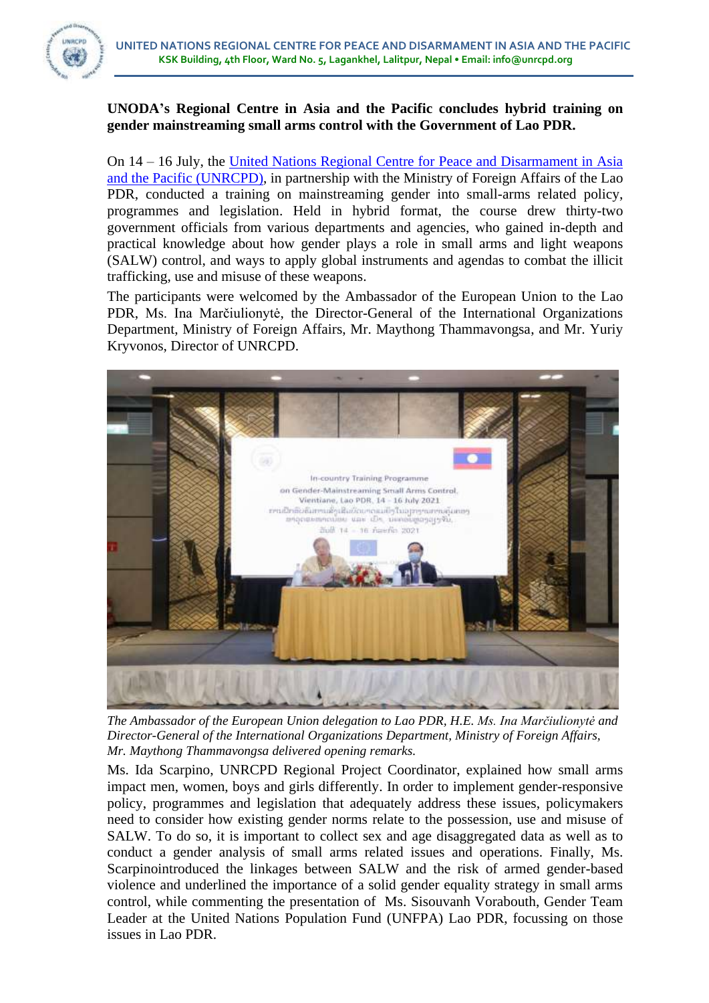

## **UNODA's Regional Centre in Asia and the Pacific concludes hybrid training on gender mainstreaming small arms control with the Government of Lao PDR.**

On 14 – 16 July, the [United Nations Regional Centre for Peace and Disarmament in Asia](https://unrcpd.org/)  [and the Pacific](https://unrcpd.org/) (UNRCPD), in partnership with the Ministry of Foreign Affairs of the Lao PDR, conducted a training on mainstreaming gender into small-arms related policy, programmes and legislation. Held in hybrid format, the course drew thirty-two government officials from various departments and agencies, who gained in-depth and practical knowledge about how gender plays a role in small arms and light weapons (SALW) control, and ways to apply global instruments and agendas to combat the illicit trafficking, use and misuse of these weapons.

The participants were welcomed by the Ambassador of the European Union to the Lao PDR, Ms. Ina Marčiulionytė, the Director-General of the International Organizations Department, Ministry of Foreign Affairs, Mr. Maythong Thammavongsa, and Mr. Yuriy Kryvonos, Director of UNRCPD.



*The Ambassador of the European Union delegation to Lao PDR, H.E. Ms. Ina Marčiulionytė and Director-General of the International Organizations Department, Ministry of Foreign Affairs, Mr. Maythong Thammavongsa delivered opening remarks.* 

Ms. Ida Scarpino, UNRCPD Regional Project Coordinator, explained how small arms impact men, women, boys and girls differently. In order to implement gender-responsive policy, programmes and legislation that adequately address these issues, policymakers need to consider how existing gender norms relate to the possession, use and misuse of SALW. To do so, it is important to collect sex and age disaggregated data as well as to conduct a gender analysis of small arms related issues and operations. Finally, Ms. Scarpinointroduced the linkages between SALW and the risk of armed gender-based violence and underlined the importance of a solid gender equality strategy in small arms control, while commenting the presentation of Ms. Sisouvanh Vorabouth, Gender Team Leader at the United Nations Population Fund (UNFPA) Lao PDR, focussing on those issues in Lao PDR.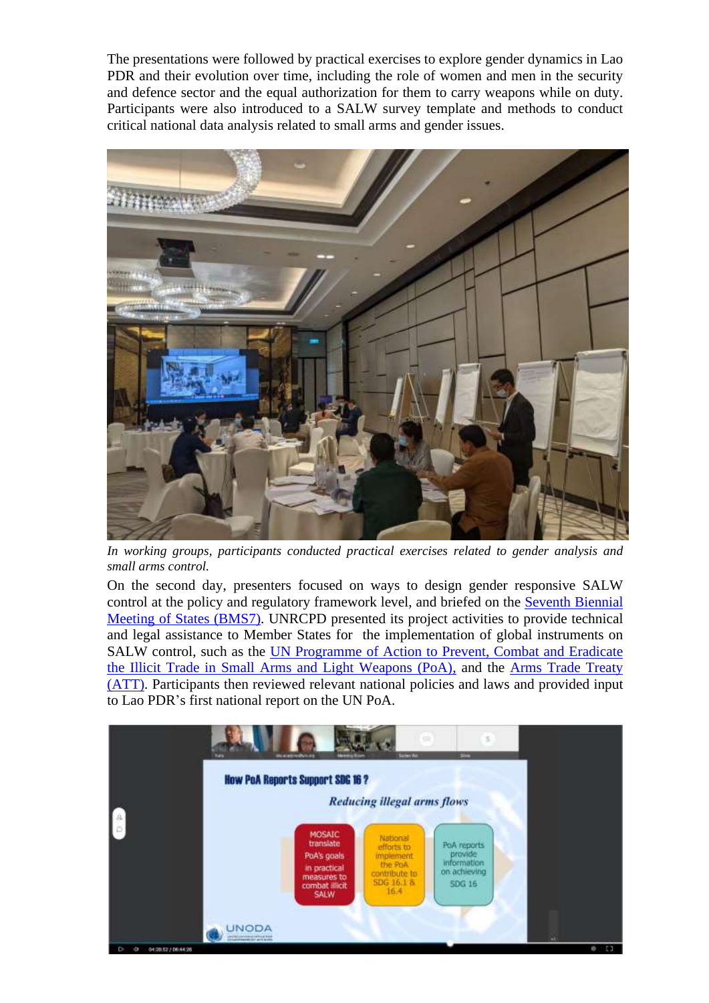The presentations were followed by practical exercises to explore gender dynamics in Lao PDR and their evolution over time, including the role of women and men in the security and defence sector and the equal authorization for them to carry weapons while on duty. Participants were also introduced to a SALW survey template and methods to conduct critical national data analysis related to small arms and gender issues.



*In working groups, participants conducted practical exercises related to gender analysis and small arms control.* 

On the second day, presenters focused on ways to design gender responsive SALW control at the policy and regulatory framework level, and briefed on the [Seventh Biennial](https://meetings.unoda.org/meeting/poa-bms7-2021/)  [Meeting of States \(BMS7\).](https://meetings.unoda.org/meeting/poa-bms7-2021/) UNRCPD presented its project activities to provide technical and legal assistance to Member States for the implementation of global instruments on SALW control, such as the [UN Programme of Action to Prevent, Combat and Eradicate](https://www.un.org/disarmament/convarms/salw/programme-of-action/)  [the Illicit Trade in Small Arms and Light Weapons \(PoA\),](https://www.un.org/disarmament/convarms/salw/programme-of-action/) and the [Arms Trade Treaty](https://thearmstradetreaty.org/) [\(ATT\).](https://thearmstradetreaty.org/) Participants then reviewed relevant national policies and laws and provided input to Lao PDR's first national report on the UN PoA.

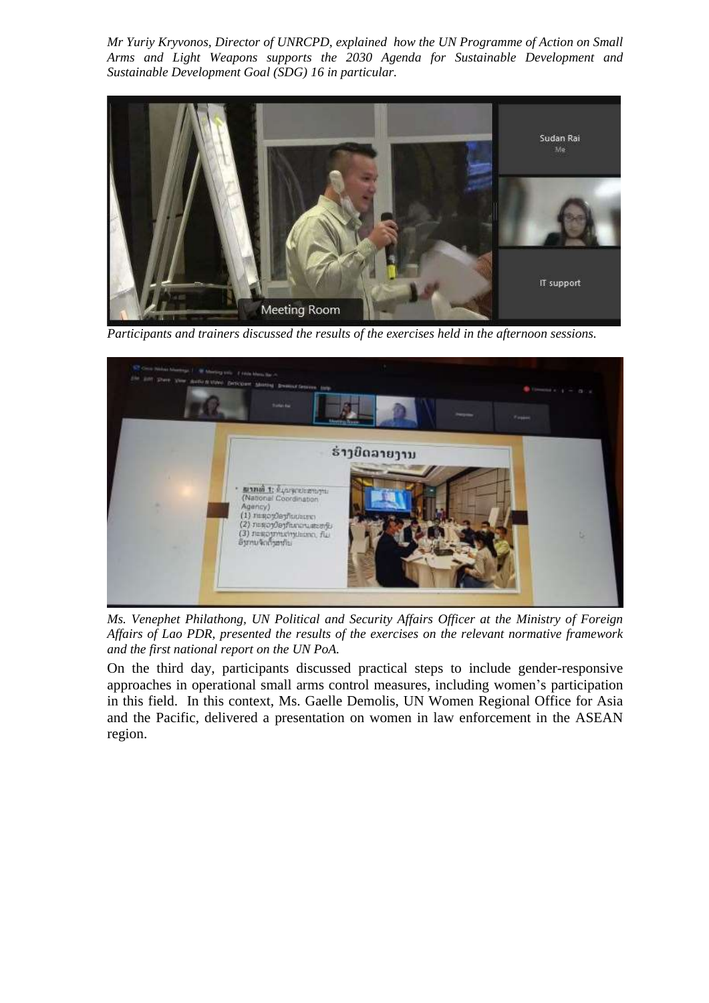*Mr Yuriy Kryvonos, Director of UNRCPD, explained how the UN Programme of Action on Small Arms and Light Weapons supports the 2030 Agenda for Sustainable Development and Sustainable Development Goal (SDG) 16 in particular.* 



*Participants and trainers discussed the results of the exercises held in the afternoon sessions.* 



*Ms. Venephet Philathong, UN Political and Security Affairs Officer at the Ministry of Foreign Affairs of Lao PDR, presented the results of the exercises on the relevant normative framework and the first national report on the UN PoA.*

On the third day, participants discussed practical steps to include gender-responsive approaches in operational small arms control measures, including women's participation in this field. In this context, Ms. Gaelle Demolis, UN Women Regional Office for Asia and the Pacific, delivered a presentation on women in law enforcement in the ASEAN region.